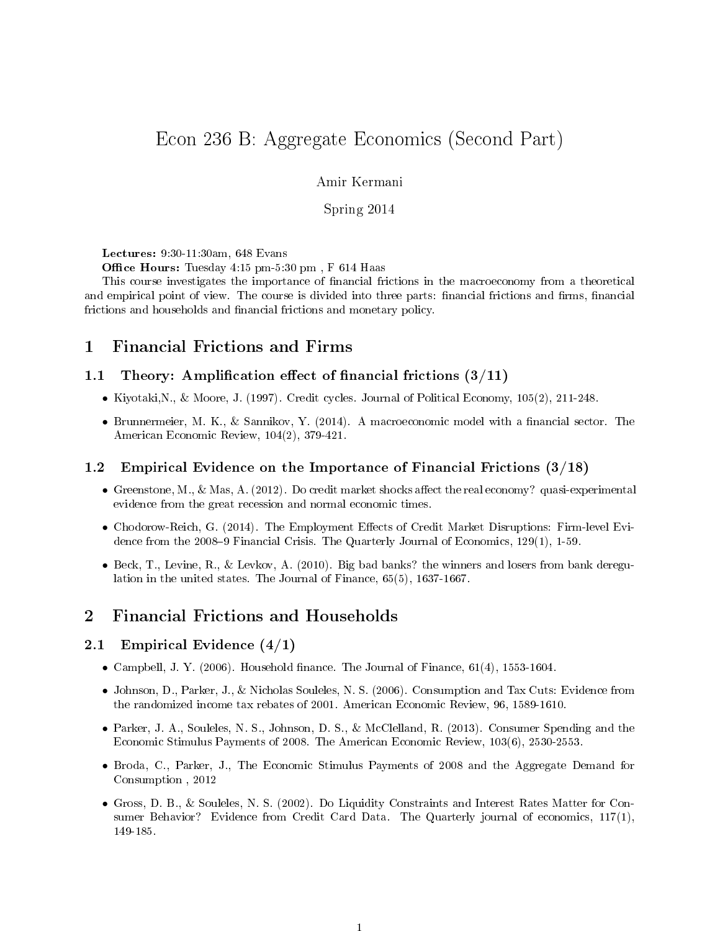# Econ 236 B: Aggregate Economics (Second Part)

#### Amir Kermani

#### Spring 2014

Lectures: 9:30-11:30am, 648 Evans

Office Hours: Tuesday 4:15 pm-5:30 pm, F 614 Haas

This course investigates the importance of financial frictions in the macroeconomy from a theoretical and empirical point of view. The course is divided into three parts: financial frictions and firms, financial frictions and households and financial frictions and monetary policy.

# 1 Financial Frictions and Firms

#### 1.1 Theory: Amplification effect of financial frictions  $(3/11)$

- Kiyotaki,N., & Moore, J. (1997). Credit cycles. Journal of Political Economy, 105(2), 211-248.
- Brunnermeier, M. K., & Sannikov, Y. (2014). A macroeconomic model with a financial sector. The American Economic Review, 104(2), 379-421.

#### 1.2 Empirical Evidence on the Importance of Financial Frictions (3/18)

- Greenstone, M., & Mas, A. (2012). Do credit market shocks affect the real economy? quasi-experimental evidence from the great recession and normal economic times.
- Chodorow-Reich, G. (2014). The Employment Effects of Credit Market Disruptions: Firm-level Evidence from the 2008–9 Financial Crisis. The Quarterly Journal of Economics,  $129(1)$ ,  $1-59$ .
- Beck, T., Levine, R., & Levkov, A. (2010). Big bad banks? the winners and losers from bank deregulation in the united states. The Journal of Finance, 65(5), 1637-1667.

# 2 Financial Frictions and Households

#### 2.1 Empirical Evidence (4/1)

- Campbell, J. Y. (2006). Household finance. The Journal of Finance,  $61(4)$ ,  $1553-1604$ .
- Johnson, D., Parker, J., & Nicholas Souleles, N. S. (2006). Consumption and Tax Cuts: Evidence from the randomized income tax rebates of 2001. American Economic Review, 96, 1589-1610.
- Parker, J. A., Souleles, N. S., Johnson, D. S., & McClelland, R. (2013). Consumer Spending and the Economic Stimulus Payments of 2008. The American Economic Review, 103(6), 2530-2553.
- Broda, C., Parker, J., The Economic Stimulus Payments of 2008 and the Aggregate Demand for Consumption , 2012
- Gross, D. B., & Souleles, N. S. (2002). Do Liquidity Constraints and Interest Rates Matter for Consumer Behavior? Evidence from Credit Card Data. The Quarterly journal of economics, 117(1), 149-185.